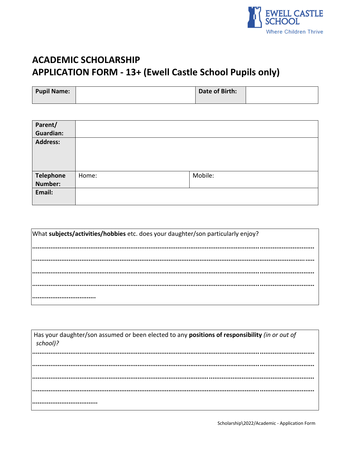

# **ACADEMIC SCHOLARSHIP** APPLICATION FORM - 13+ (Ewell Castle School Pupils only)

| Pupil Name: | Date of Birth: |  |
|-------------|----------------|--|
|             |                |  |

| Parent/<br><b>Guardian:</b> |       |         |
|-----------------------------|-------|---------|
| <b>Address:</b>             |       |         |
| <b>Telephone</b>            | Home: | Mobile: |
| <b>Number:</b>              |       |         |
| Email:                      |       |         |

| What subjects/activities/hobbies etc. does your daughter/son particularly enjoy? |  |  |  |  |
|----------------------------------------------------------------------------------|--|--|--|--|
|                                                                                  |  |  |  |  |
|                                                                                  |  |  |  |  |
|                                                                                  |  |  |  |  |
|                                                                                  |  |  |  |  |
|                                                                                  |  |  |  |  |

| Has your daughter/son assumed or been elected to any positions of responsibility (in or out of<br>school)? |
|------------------------------------------------------------------------------------------------------------|
|                                                                                                            |
|                                                                                                            |
|                                                                                                            |
|                                                                                                            |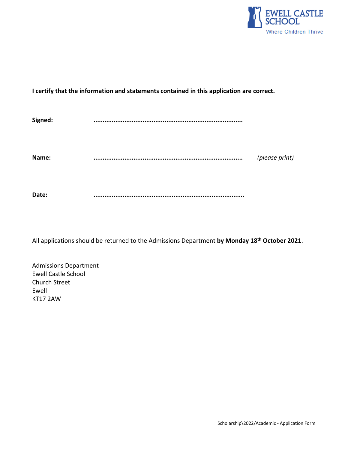

## **I certify that the information and statements contained in this application are correct.**

| Signed: | <br>                   |
|---------|------------------------|
| Name:   | <br><br>(please print) |
| Date:   | <br>                   |

All applications should be returned to the Admissions Department **by Monday 18 th October 2021**.

Admissions Department Ewell Castle School Church Street Ewell KT17 2AW